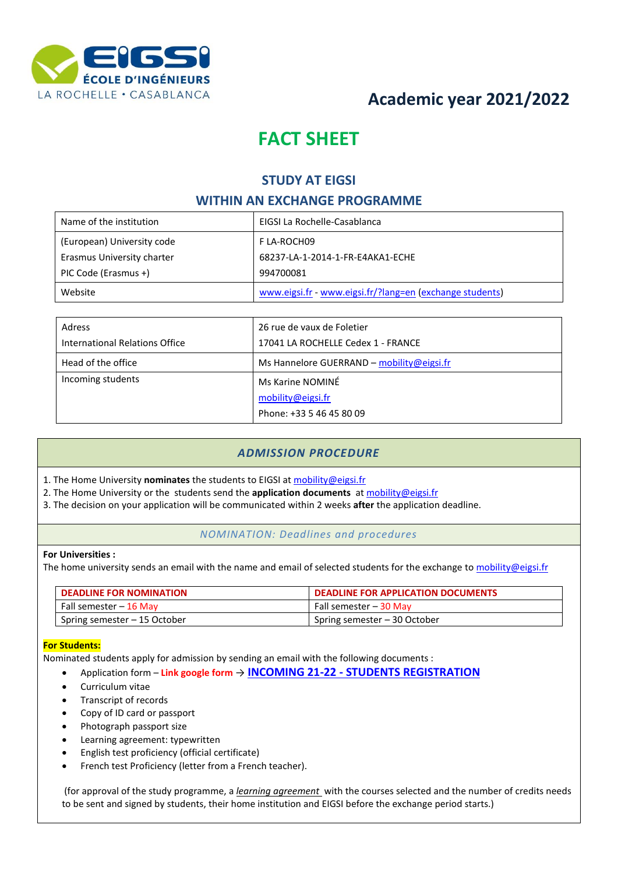

# **Academic year 2021/2022**

# **FACT SHEET**

# **STUDY AT EIGSI**

## **WITHIN AN EXCHANGE PROGRAMME**

| Name of the institution    | EIGSI La Rochelle-Casablanca                             |
|----------------------------|----------------------------------------------------------|
| (European) University code | F LA-ROCH09                                              |
| Erasmus University charter | 68237-LA-1-2014-1-FR-E4AKA1-ECHE                         |
| PIC Code (Erasmus +)       | 994700081                                                |
| Website                    | www.eigsi.fr - www.eigsi.fr/?lang=en (exchange students) |

| Adress                         | 26 rue de vaux de Foletier<br>17041 LA ROCHELLE Cedex 1 - FRANCE |  |
|--------------------------------|------------------------------------------------------------------|--|
| International Relations Office |                                                                  |  |
| Head of the office             | Ms Hannelore GUERRAND - mobility@eigsi.fr                        |  |
| Incoming students              | Ms Karine NOMINÉ                                                 |  |
|                                | mobility@eigsi.fr                                                |  |
|                                | Phone: +33 5 46 45 80 09                                         |  |

## *ADMISSION PROCEDURE*

- 1. The Home University **nominates** the students to EIGSI at [mobility@eigsi.fr](mailto:mobility@eigsi.fr)
- 2. The Home University or the students send the **application documents** at [mobility@eigsi.fr](mailto:incoming@eigsi.fr)
- 3. The decision on your application will be communicated within 2 weeks **after** the application deadline.

### *NOMINATION: Deadlines and procedures*

### **For Universities :**

The home university sends an email with the name and email of selected students for the exchange to [mobility@eigsi.fr](mailto:incoming@eigsi.fr)

| <b>DEADLINE FOR NOMINATION</b> | DEADLINE FOR APPLICATION DOCUMENTS |
|--------------------------------|------------------------------------|
| Fall semester – 16 May         | Fall semester – 30 May             |
| Spring semester – 15 October   | Spring semester – 30 October       |

### **For Students:**

Nominated students apply for admission by sending an email with the following documents :

- Application form **Link google form** → **INCOMING 21-22 - [STUDENTS REGISTRATION](https://forms.gle/DBfdMa1nYDfY5MLB9)**
- Curriculum vitae
- Transcript of records
- Copy of ID card or passport
- Photograph passport size
- Learning agreement: typewritten
- English test proficiency (official certificate)
- French test Proficiency (letter from a French teacher).

(for approval of the study programme, a *learning agreement* with the courses selected and the number of credits needs to be sent and signed by students, their home institution and EIGSI before the exchange period starts.)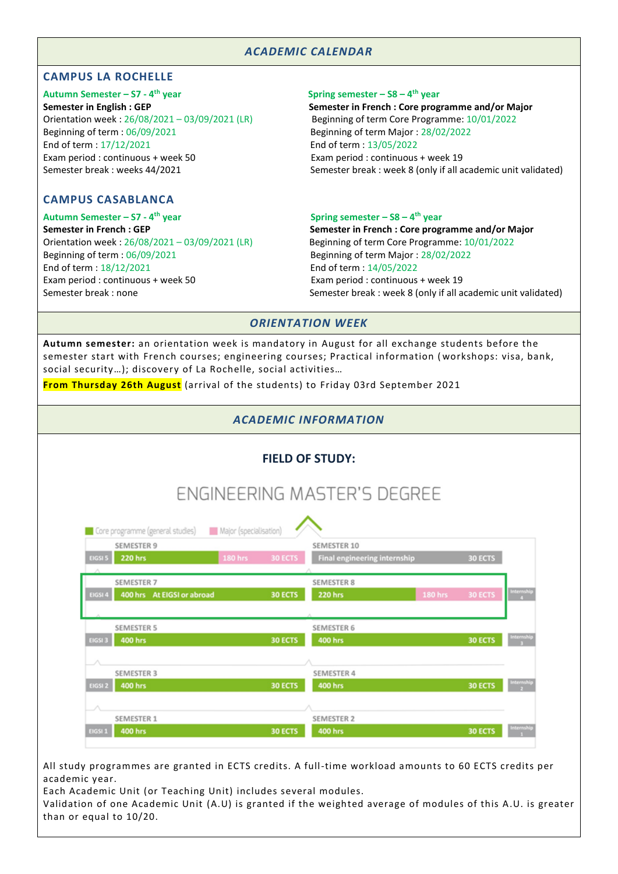### *ACADEMIC CALENDAR*

### **CAMPUS LA ROCHELLE**

**Autumn Semester – S7 - 4** Orientation week : 26/08/2021 – 03/09/2021 (LR) Beginning of term Core Programme: 10/01/2022 Beginning of term : 06/09/2021 Beginning of term Major : 28/02/2022 End of term : 17/12/2021 End of term : 13/05/2022 Exam period : continuous + week 50 Exam period : continuous + week 19

### **CAMPUS CASABLANCA**

**Autumn Semester – S7 - 4** Orientation week : 26/08/2021 – 03/09/2021 (LR) Beginning of term Core Programme: 10/01/2022 Beginning of term : 06/09/2021 Beginning of term Major : 28/02/2022 End of term : 18/12/2021 End of term : 14/05/2022 Exam period : continuous + week 50 Exam period : continuous + week 19

### **th year Spring semester – S8 – 4 th year**

**Semester in English : GEP Semester in French : Core programme and/or Major** Semester break : weeks 44/2021 Semester break : week 8 (only if all academic unit validated)

### **th year Spring semester – S8 – 4 th year**

**Semester in French : GEP Semester in French : Core programme and/or Major** Semester break : none Semester break : week 8 (only if all academic unit validated)

### *ORIENTATION WEEK*

**Autumn semester:** an orientation week is mandatory in August for all exchange students before the semester start with French courses; engineering courses; Practical information ( workshops: visa, bank, social security…); discovery of La Rochelle, social activities…

**From Thursday 26th August** (arrival of the students) to Friday 03rd September 2021

### *ACADEMIC INFORMATION*

| <b>FIELD OF STUDY:</b> |  |
|------------------------|--|
|------------------------|--|

# **ENGINEERING MASTER'S DEGREE**

|         | <b>SEMESTER 9</b>          |                |                | SEMESTER 10                  |         |                |                                        |
|---------|----------------------------|----------------|----------------|------------------------------|---------|----------------|----------------------------------------|
| EIGSI 5 | <b>220 hrs</b>             | <b>180 hrs</b> | 30 ECTS        | Final engineering internship |         | <b>30 ECTS</b> |                                        |
|         |                            |                |                |                              |         |                |                                        |
|         | SEMESTER 7                 |                |                | <b>SEMESTER 8</b>            |         |                |                                        |
| EIGSI 4 | 400 hrs At EIGSI or abroad |                | <b>30 ECTS</b> | <b>220 hrs</b>               | 180 hrs | <b>30 ECTS</b> | Internship<br>4                        |
|         |                            |                |                |                              |         |                |                                        |
|         |                            |                |                |                              |         |                |                                        |
|         | <b>SEMESTER 5</b>          |                |                | <b>SEMESTER 6</b>            |         |                |                                        |
| EIGSI 3 | <b>400 hrs</b>             |                | <b>30 ECTS</b> | <b>400 hrs</b>               |         | <b>30 ECTS</b> | Internship<br>$\overline{\phantom{a}}$ |
|         |                            |                |                |                              |         |                |                                        |
|         |                            |                |                |                              |         |                |                                        |
|         | <b>SEMESTER 3</b>          |                |                | <b>SEMESTER 4</b>            |         |                |                                        |
| EIGSI 2 | <b>400 hrs</b>             |                | <b>30 ECTS</b> | <b>400 hrs</b>               |         | <b>30 ECTS</b> | Internship                             |
|         |                            |                |                |                              |         |                |                                        |
|         |                            |                |                |                              |         |                |                                        |
|         | <b>SEMESTER 1</b>          |                |                | <b>SEMESTER 2</b>            |         |                |                                        |
| EIGSI 1 | <b>400 hrs</b>             |                | <b>30 ECTS</b> | <b>400 hrs</b>               |         | <b>30 ECTS</b> | <b>Internship</b>                      |

All study programmes are granted in ECTS credits. A full-time workload amounts to 60 ECTS credits per academic year.

Each Academic Unit (or Teaching Unit) includes several modules.

Validation of one Academic Unit (A.U) is granted if the weighted average of modules of this A.U. is greater than or equal to 10/20.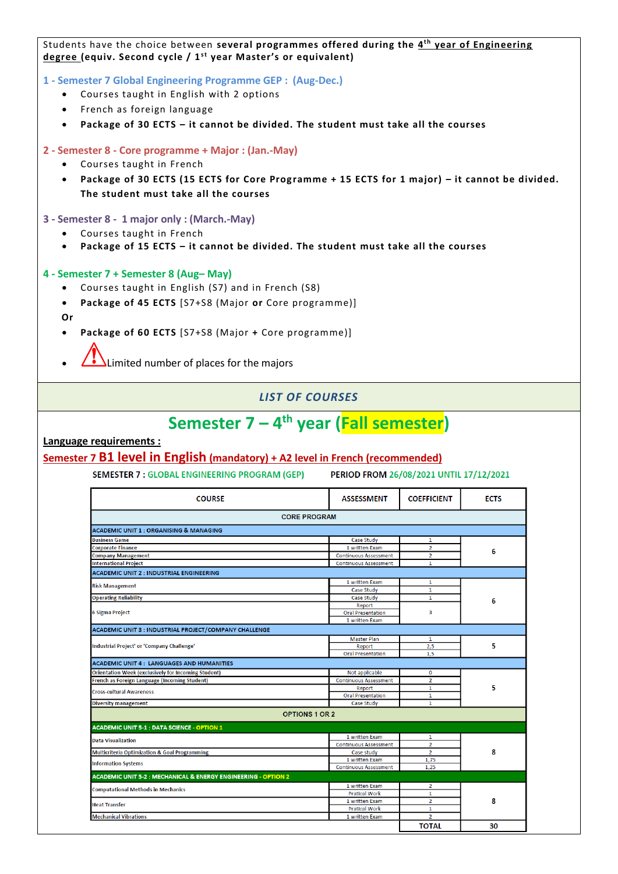Students have the choice between several programmes offered during the 4<sup>th</sup> year of Engineering degree (equiv. Second cycle / 1<sup>st</sup> year Master's or equivalent)

**1 - Semester 7 Global Engineering Programme GEP : (Aug-Dec.)**

- Courses taught in English with 2 options
- French as foreign language
- **Package of 30 ECTS – it cannot be divided. The student must take all the courses**

### **2 - Semester 8 - Core programme + Major : (Jan.-May)**

- Courses taught in French
- **Package of 30 ECTS (15 ECTS for Core Programme + 15 ECTS for 1 major) – it cannot be divided. The student must take all the courses**

### **3 - Semester 8 - 1 major only : (March.-May)**

- Courses taught in French
- **Package of 15 ECTS – it cannot be divided. The student must take all the courses**

#### **4 - Semester 7 + Semester 8 (Aug– May)**

- Courses taught in English (S7) and in French (S8)
- **Package of 45 ECTS** [S7+S8 (Major **or** Core programme)]
- **Or**
- **Package of 60 ECTS** [S7+S8 (Major **+** Core programme)]
- $\Delta$ Limited number of places for the majors

### *LIST OF COURSES*

# **Semester 7 – 4 th year (Fall semester)**

**Language requirements :**

### **Semester 7 B1 level in English (mandatory) + A2 level in French (recommended)**

SEMESTER 7 : GLOBAL ENGINEERING PROGRAM (GEP) PERIOD FROM 26/08/2021 UNTIL 17/12/2021

| <b>CORE PROGRAM</b>                                                       |                              |                |    |
|---------------------------------------------------------------------------|------------------------------|----------------|----|
| <b>ACADEMIC UNIT 1 : ORGANISING &amp; MANAGING</b>                        |                              |                |    |
| <b>Business Game</b>                                                      | Case Study                   | $\mathbf{1}$   |    |
| <b>Corporate Finance</b>                                                  | 1 written Exam               | $\overline{2}$ | 6  |
| <b>Company Management</b>                                                 | <b>Continuous Assessment</b> | $\overline{2}$ |    |
| <b>International Project</b>                                              | <b>Continuous Assessment</b> | $\mathbf{1}$   |    |
| <b>ACADEMIC UNIT 2: INDUSTRIAL ENGINEERING</b>                            |                              |                |    |
| <b>Risk Management</b>                                                    | 1 written Exam               | 1              |    |
|                                                                           | Case Study                   | $\mathbf{1}$   |    |
| <b>Operating Reliability</b>                                              | Case Study                   | 1              | 6  |
|                                                                           | Report                       |                |    |
| 6 Sigma Project                                                           | <b>Oral Presentation</b>     | 3              |    |
|                                                                           | 1 written Exam               |                |    |
| ACADEMIC UNIT 3 : INDUSTRIAL PROJECT/COMPANY CHALLENGE                    |                              |                |    |
|                                                                           | <b>Master Plan</b>           | 1              |    |
| Industrial Project' or 'Company Challenge'                                | Report                       | 2,5            | 5  |
|                                                                           | <b>Oral Presentation</b>     | 1,5            |    |
| <b>ACADEMIC UNIT 4: LANGUAGES AND HUMANITIES</b>                          |                              |                |    |
| <b>Orientation Week (exclusively for Incoming Student)</b>                | Not applicable               | 0              |    |
| French as Foreign Language (Incoming Student)                             | <b>Continuous Assessment</b> | $\overline{2}$ |    |
| <b>Cross-cultural Awareness</b>                                           | Report                       | $\mathbf{1}$   | 5  |
|                                                                           | <b>Oral Presentation</b>     | $\mathbf{1}$   |    |
| <b>Diversity management</b>                                               | Case Study                   | 1              |    |
| <b>OPTIONS 1 OR 2</b>                                                     |                              |                |    |
| <b>ACADEMIC UNIT 5-1 : DATA SCIENCE - OPTION 1</b>                        |                              |                |    |
| <b>Data Visualization</b>                                                 | 1 written Exam               | $\mathbf{1}$   |    |
|                                                                           | <b>Continuous Assessment</b> | $\overline{2}$ |    |
| <b>Multicriteria Optimization &amp; Goal Programming</b>                  | Case study                   | $\overline{2}$ | 8  |
| <b>Information Systems</b>                                                | 1 written Exam               | 1,75           |    |
|                                                                           | <b>Continuous Assessment</b> | 1.25           |    |
| <b>ACADEMIC UNIT 5-2 : MECHANICAL &amp; ENERGY ENGINEERING - OPTION 2</b> |                              |                |    |
|                                                                           | 1 written Exam               | $\overline{2}$ |    |
| <b>Computational Methods in Mechanics</b>                                 | <b>Pratical Work</b>         | $\mathbf{1}$   |    |
| <b>Heat Transfer</b>                                                      | 1 written Exam               | $\overline{2}$ | 8  |
|                                                                           | <b>Pratical Work</b>         | 1              |    |
| <b>Mechanical Vibrations</b>                                              | 1 written Exam               | $\overline{2}$ |    |
|                                                                           |                              | <b>TOTAL</b>   | 30 |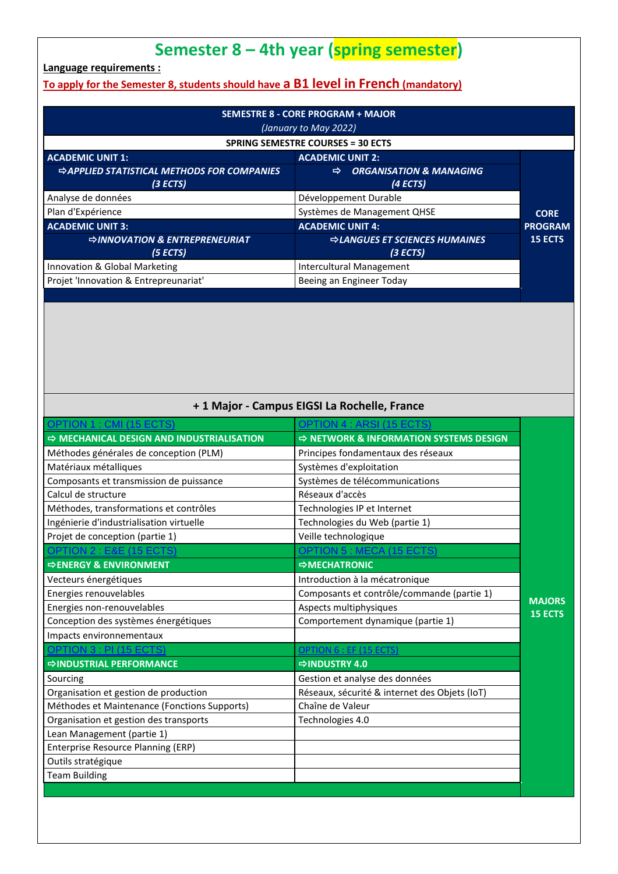# **Semester 8 – 4th year (spring semester)**

**Language requirements :**

# **To apply for the Semester 8, students should have a B1 level in French (mandatory)**

| <b>SEMESTRE 8 - CORE PROGRAM + MAJOR</b><br>(January to May 2022) |                                                     |                |  |
|-------------------------------------------------------------------|-----------------------------------------------------|----------------|--|
| <b>SPRING SEMESTRE COURSES = 30 ECTS</b>                          |                                                     |                |  |
| <b>ACADEMIC UNIT 1:</b>                                           | <b>ACADEMIC UNIT 2:</b>                             |                |  |
| <b>⇒APPLIED STATISTICAL METHODS FOR COMPANIES</b><br>(3 ECTS)     | <b>ORGANISATION &amp; MANAGING</b><br>⇨<br>(4 ECTS) |                |  |
| Analyse de données                                                | Développement Durable                               |                |  |
| Plan d'Expérience                                                 | Systèmes de Management QHSE                         | <b>CORE</b>    |  |
| <b>ACADEMIC UNIT 3:</b>                                           | <b>ACADEMIC UNIT 4:</b>                             | <b>PROGRAM</b> |  |
| <b>⇒INNOVATION &amp; ENTREPRENEURIAT</b><br>(5 ECTS)              | <b>⇒LANGUES ET SCIENCES HUMAINES</b><br>(3 ECTS)    | <b>15 ECTS</b> |  |
| Innovation & Global Marketing                                     | Intercultural Management                            |                |  |
| Projet 'Innovation & Entrepreunariat'                             | Beeing an Engineer Today                            |                |  |

# **+ 1 Major - Campus EIGSI La Rochelle, France**

| <b>OPTION 1 : CMI (15 ECTS)</b>                       | DPTION 4 : ARSI (15 ECT                            |                |
|-------------------------------------------------------|----------------------------------------------------|----------------|
| $\Rightarrow$ MECHANICAL DESIGN AND INDUSTRIALISATION | $\Rightarrow$ NETWORK & INFORMATION SYSTEMS DESIGN |                |
| Méthodes générales de conception (PLM)                | Principes fondamentaux des réseaux                 |                |
| Matériaux métalliques                                 | Systèmes d'exploitation                            |                |
| Composants et transmission de puissance               | Systèmes de télécommunications                     |                |
| Calcul de structure                                   | Réseaux d'accès                                    |                |
| Méthodes, transformations et contrôles                | Technologies IP et Internet                        |                |
| Ingénierie d'industrialisation virtuelle              | Technologies du Web (partie 1)                     |                |
| Projet de conception (partie 1)                       | Veille technologique                               |                |
| OPTION 2 : E&E (15 ECTS)                              | <b>OPTION 5: MECA (15 ECTS)</b>                    |                |
| <b>⇒ENERGY &amp; ENVIRONMENT</b>                      | $\Rightarrow$ MECHATRONIC                          |                |
| Vecteurs énergétiques                                 | Introduction à la mécatronique                     |                |
| Energies renouvelables                                | Composants et contrôle/commande (partie 1)         | <b>MAJORS</b>  |
| Energies non-renouvelables                            | Aspects multiphysiques                             | <b>15 ECTS</b> |
| Conception des systèmes énergétiques                  | Comportement dynamique (partie 1)                  |                |
| Impacts environnementaux                              |                                                    |                |
| OPTION 3 : PI (15 ECTS)                               | <b>OPTION 6 : EF (15 ECTS)</b>                     |                |
| <b>⇒INDUSTRIAL PERFORMANCE</b>                        | $\Rightarrow$ INDUSTRY 4.0                         |                |
| Sourcing                                              | Gestion et analyse des données                     |                |
| Organisation et gestion de production                 | Réseaux, sécurité & internet des Objets (IoT)      |                |
| Méthodes et Maintenance (Fonctions Supports)          | Chaîne de Valeur                                   |                |
| Organisation et gestion des transports                | Technologies 4.0                                   |                |
| Lean Management (partie 1)                            |                                                    |                |
| <b>Enterprise Resource Planning (ERP)</b>             |                                                    |                |
| Outils stratégique                                    |                                                    |                |
| <b>Team Building</b>                                  |                                                    |                |
|                                                       |                                                    |                |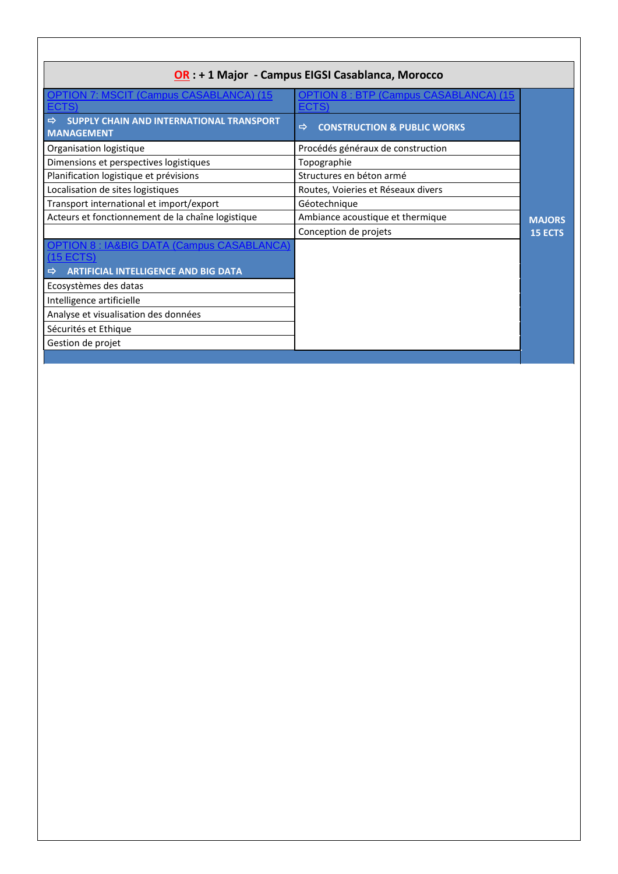| OR : + 1 Major - Campus EIGSI Casablanca, Morocco                              |                                              |                |  |
|--------------------------------------------------------------------------------|----------------------------------------------|----------------|--|
| <b>OPTION 7: MSCIT (Campus CASABLANCA) (15)</b>                                | <b>OPTION 8: BTP (Campus CASABLANCA) (15</b> |                |  |
| <b>ECTS</b>                                                                    | ECTS)                                        |                |  |
| SUPPLY CHAIN AND INTERNATIONAL TRANSPORT<br>$\Rightarrow$<br><b>MANAGEMENT</b> | <b>CONSTRUCTION &amp; PUBLIC WORKS</b><br>⇨  |                |  |
| Organisation logistique                                                        | Procédés généraux de construction            |                |  |
| Dimensions et perspectives logistiques                                         | Topographie                                  |                |  |
| Planification logistique et prévisions                                         | Structures en béton armé                     |                |  |
| Localisation de sites logistiques                                              | Routes, Voieries et Réseaux divers           |                |  |
| Transport international et import/export                                       | Géotechnique                                 |                |  |
| Acteurs et fonctionnement de la chaîne logistique                              | Ambiance acoustique et thermique             | <b>MAJORS</b>  |  |
|                                                                                | Conception de projets                        | <b>15 ECTS</b> |  |
| <b>OPTION 8: IA&amp;BIG DATA (Campus CASABLANCA</b><br>(15 ECTS)               |                                              |                |  |
| <b>ARTIFICIAL INTELLIGENCE AND BIG DATA</b><br>⇨                               |                                              |                |  |
| Ecosystèmes des datas                                                          |                                              |                |  |
| Intelligence artificielle                                                      |                                              |                |  |
| Analyse et visualisation des données                                           |                                              |                |  |
| Sécurités et Ethique                                                           |                                              |                |  |
| Gestion de projet                                                              |                                              |                |  |
|                                                                                |                                              |                |  |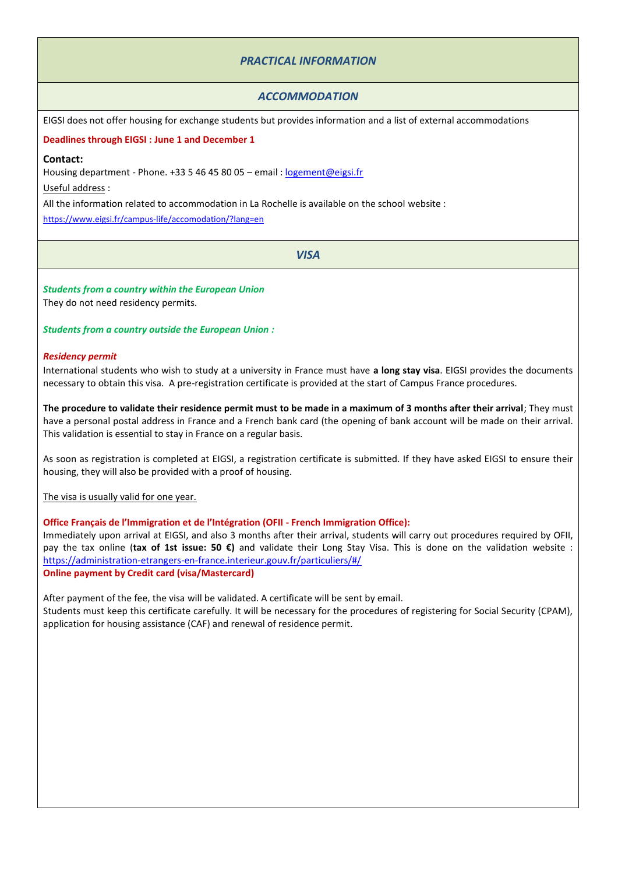### *PRACTICAL INFORMATION*

### *ACCOMMODATION*

EIGSI does not offer housing for exchange students but provides information and a list of external accommodations

**Deadlines through EIGSI : June 1 and December 1**

#### **Contact:**

Housing department - Phone. +33 5 46 45 80 05 - email : [logement@eigsi.fr](mailto:logement@eigsi.fr)

Useful address :

All the information related to accommodation in La Rochelle is available on the school website :

<https://www.eigsi.fr/campus-life/accomodation/?lang=en>

*VISA*

*Students from a country within the European Union*  They do not need residency permits.

*Students from a country outside the European Union :* 

#### *Residency permit*

International students who wish to study at a university in France must have **a long stay visa**. EIGSI provides the documents necessary to obtain this visa. A pre-registration certificate is provided at the start of Campus France procedures.

**The procedure to validate their residence permit must to be made in a maximum of 3 months after their arrival**; They must have a personal postal address in France and a French bank card (the opening of bank account will be made on their arrival. This validation is essential to stay in France on a regular basis.

As soon as registration is completed at EIGSI, a registration certificate is submitted. If they have asked EIGSI to ensure their housing, they will also be provided with a proof of housing.

The visa is usually valid for one year.

**Office Français de l'Immigration et de l'Intégration (OFII - French Immigration Office):** 

Immediately upon arrival at EIGSI, and also 3 months after their arrival, students will carry out procedures required by OFII, pay the tax online (**tax of 1st issue: 50 €)** and validate their Long Stay Visa. This is done on the validation website : <https://administration-etrangers-en-france.interieur.gouv.fr/particuliers/#/> **Online payment by Credit card (visa/Mastercard)**

After payment of the fee, the visa will be validated. A certificate will be sent by email. Students must keep this certificate carefully. It will be necessary for the procedures of registering for Social Security (CPAM), application for housing assistance (CAF) and renewal of residence permit.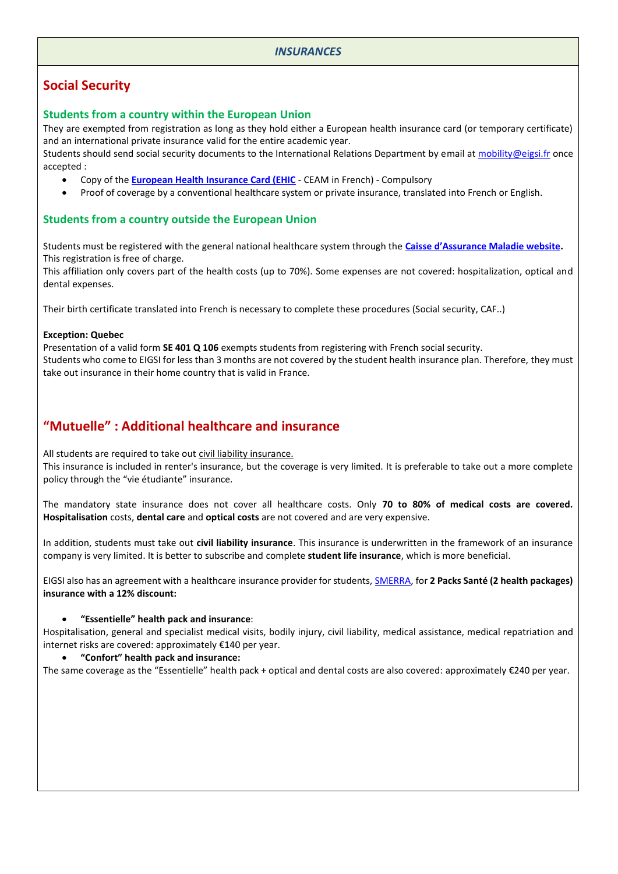### *INSURANCES*

# **Social Security**

### **Students from a country within the European Union**

They are exempted from registration as long as they hold either a European health insurance card (or temporary certificate) and an international private insurance valid for the entire academic year. Students should send social security documents to the International Relations Department by email a[t mobility@eigsi.fr](mailto:mobility@eigsi.fr) once accepted :

- Copy of the **[European Health Insurance Card \(EHIC](https://ec.europa.eu/social/main.jsp?catId=559)** CEAM in French) Compulsory
- Proof of coverage by a conventional healthcare system or private insurance, translated into French or English.

### **Students from a country outside the European Union**

Students must be registered with the general national healthcare system through the **[Caisse d'Assurance Maladie website](https://etudiant-etranger.ameli.fr/#/).** This registration is free of charge.

This affiliation only covers part of the health costs (up to 70%). Some expenses are not covered: hospitalization, optical and dental expenses.

Their birth certificate translated into French is necessary to complete these procedures (Social security, CAF..)

### **Exception: Quebec**

Presentation of a valid form **SE 401 Q 106** exempts students from registering with French social security. Students who come to EIGSI for less than 3 months are not covered by the student health insurance plan. Therefore, they must take out insurance in their home country that is valid in France.

# **"Mutuelle" : Additional healthcare and insurance**

All students are required to take out civil liability insurance.

This insurance is included in renter's insurance, but the coverage is very limited. It is preferable to take out a more complete policy through the "vie étudiante" insurance.

The mandatory state insurance does not cover all healthcare costs. Only **70 to 80% of medical costs are covered. Hospitalisation** costs, **dental care** and **optical costs** are not covered and are very expensive.

In addition, students must take out **civil liability insurance**. This insurance is underwritten in the framework of an insurance company is very limited. It is better to subscribe and complete **student life insurance**, which is more beneficial.

EIGSI also has an agreement with a healthcare insurance provider for students, [SMERRA,](https://smerra.fr/) for **2 Packs Santé (2 health packages) insurance with a 12% discount:**

### • **"Essentielle" health pack and insurance**:

Hospitalisation, general and specialist medical visits, bodily injury, civil liability, medical assistance, medical repatriation and internet risks are covered: approximately €140 per year.

### • **"Confort" health pack and insurance:**

The same coverage as the "Essentielle" health pack + optical and dental costs are also covered: approximately €240 per year.